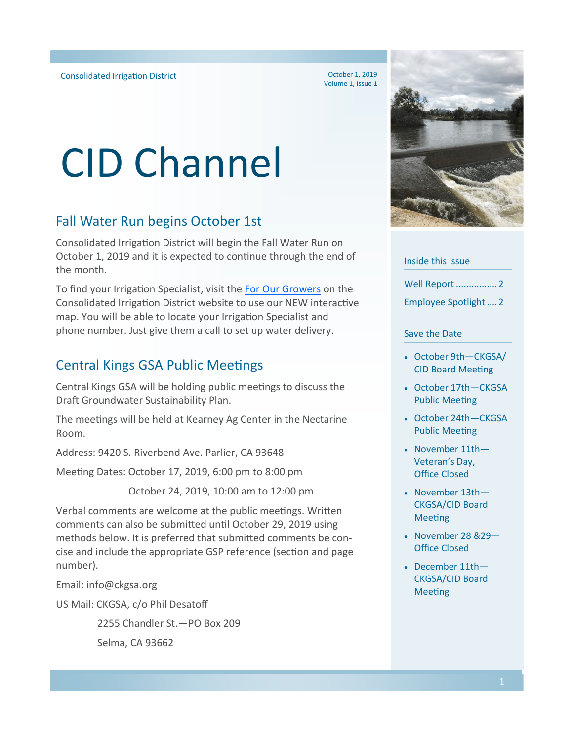October 1, 2019 Volume 1, Issue 1

# CID Channel

## Fall Water Run begins October 1st

Consolidated Irrigation District will begin the Fall Water Run on October 1, 2019 and it is expected to continue through the end of the month.

To find your Irrigation Specialist, visit the [For Our Growers](https://www.cidwater.com/For-our-growers/#irrigation-specialist) on the Consolidated Irrigation District website to use our NEW interactive map. You will be able to locate your Irrigation Specialist and phone number. Just give them a call to set up water delivery.

## Central Kings GSA Public Meetings

Central Kings GSA will be holding public meetings to discuss the Draft Groundwater Sustainability Plan.

The meetings will be held at Kearney Ag Center in the Nectarine Room.

Address: 9420 S. Riverbend Ave. Parlier, CA 93648

Meeting Dates: October 17, 2019, 6:00 pm to 8:00 pm

October 24, 2019, 10:00 am to 12:00 pm

Verbal comments are welcome at the public meetings. Written comments can also be submitted until October 29, 2019 using methods below. It is preferred that submitted comments be concise and include the appropriate GSP reference (section and page number).

Email: info@ckgsa.org

US Mail: CKGSA, c/o Phil Desatoff

 2255 Chandler St.—PO Box 209 Selma, CA 93662

Inside this issue

Well Report ................2

Employee Spotlight....2

#### Save the Date

- October 9th—CKGSA/ CID Board Meeting
- October 17th—CKGSA Public Meeting
- October 24th—CKGSA Public Meeting
- November 11th— Veteran's Day, Office Closed
- November 13th— CKGSA/CID Board Meeting
- November 28 &29— Office Closed
- December 11th— CKGSA/CID Board Meeting